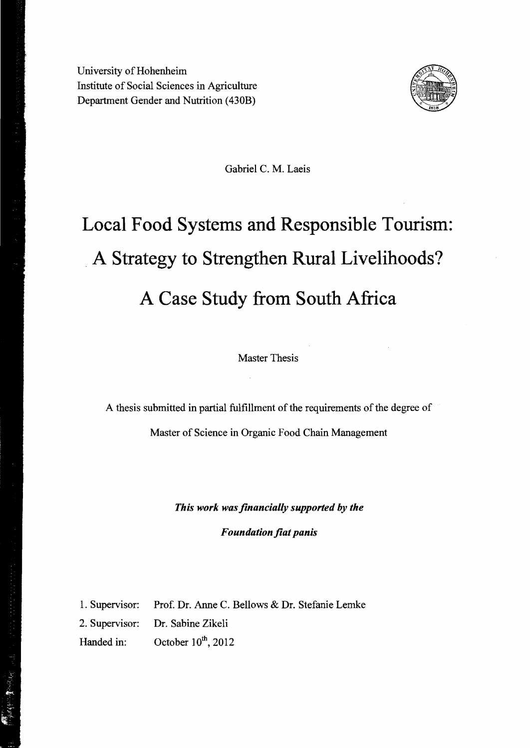University of Hohenheim Institute of Social Sciences in Agriculture Department Gender and Nutrition (430B)



Gabriel C. M. Laeis

## **Local Food Systems and Responsible Tourism:**  .**A Strategy to Strengthen Rural Livelihoods? A Case Study from SOllth Africa**

Master Thesis

A thesis submitted in partial fulfillment of the requirements of the degree of

Master of Science in Organic Food Chain Management

*This work was jinanciaHy supported by the Foundation fiat panis* 

1. Supervisor: Prof. Dr. Anne C. Bellows & Dr. Stefanie Lemke

2. Supervisor: Dr. Sabine Zikeli

Handed in: October  $10^{th}$ , 2012